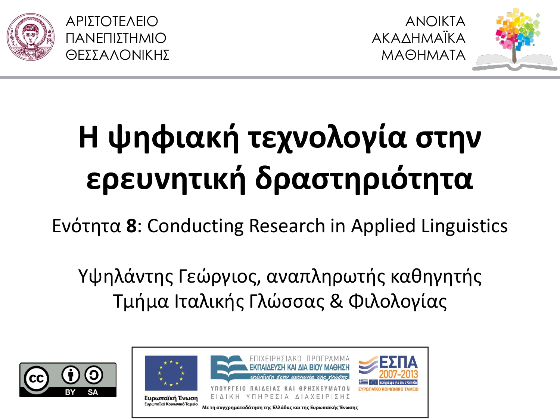

ΑΡΙΣΟΣΕΛΕΙΟ ΠΑΝΕΠΙΣΗΜΙΟ ΘΕΣΣΑΛΟΝΙΚΗΣ



## **Η ψηφιακή τεχνολογία στην ερευνητική δραστηριότητα**

Eνότητα 8: Conducting Research in Applied Linguistics

Υψηλάντης Γεώργιος, αναπληρωτής καθηγητής Τμήμα Ιταλικής Γλώσσας & Φιλολογίας

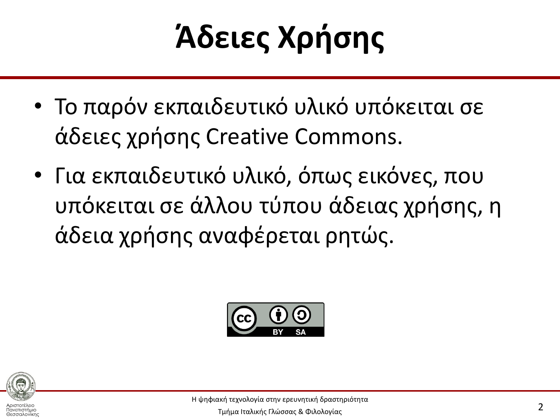## **Άδειες Χρήσης**

- Το παρόν εκπαιδευτικό υλικό υπόκειται σε άδειες χρήσης Creative Commons.
- Για εκπαιδευτικό υλικό, όπως εικόνες, που υπόκειται σε άλλου τύπου άδειας χρήσης, η άδεια χρήσης αναφέρεται ρητώς.



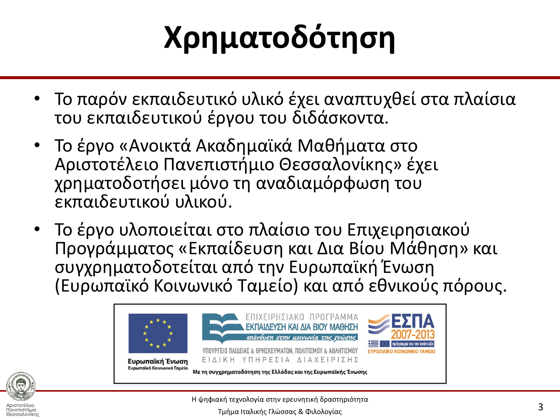## **Χρηματοδότηση**

- Το παρόν εκπαιδευτικό υλικό έχει αναπτυχθεί στα πλαίσια του εκπαιδευτικού έργου του διδάσκοντα.
- Το έργο «Ανοικτά Ακαδημαϊκά Μαθήματα στο Αριστοτέλειο Πανεπιστήμιο Θεσσαλονίκης» έχει χρηματοδοτήσει μόνο τη αναδιαμόρφωση του εκπαιδευτικού υλικού.
- Το έργο υλοποιείται στο πλαίσιο του Επιχειρησιακού Προγράμματος «Εκπαίδευση και Δια Βίου Μάθηση» και συγχρηματοδοτείται από την Ευρωπαϊκή Ένωση (Ευρωπαϊκό Κοινωνικό Ταμείο) και από εθνικούς πόρους.





Αριστοτέλειο Πανεπιστήμιο Θεσσαλονίκης Η ψηφιακή τεχνολογία στην ερευνητική δραστηριότητα

Τμήμα Ιταλικής Γλώσσας & Φιλολογίας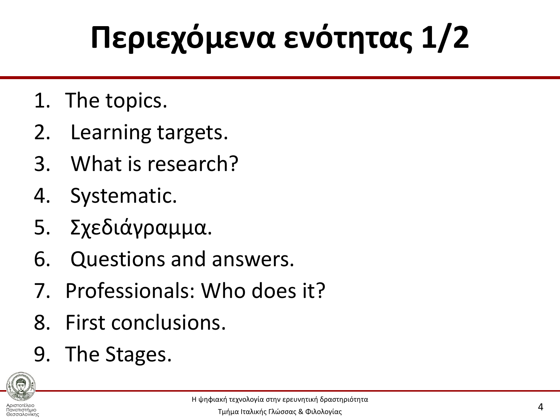## **Περιεχόμενα ενότητας 1/2**

- 1. The topics.
- 2. Learning targets.
- 3. What is research?
- 4. Systematic.
- 5. χεδιάγραμμα.
- 6. Questions and answers.
- 7. Professionals: Who does it?
- 8. First conclusions.
- 9. The Stages.



Θεσσαλονίκης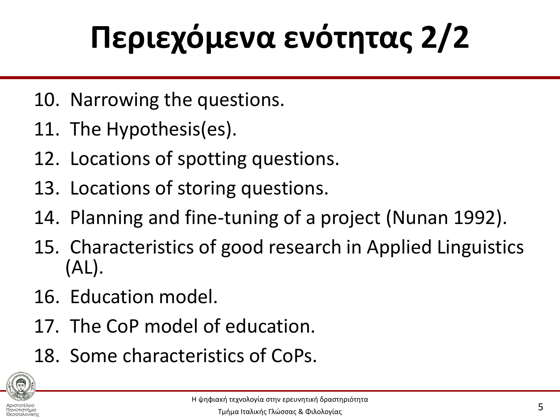# **Περιεχόμενα ενότητας 2/2**

- 10. Narrowing the questions.
- 11. The Hypothesis(es).
- 12. Locations of spotting questions.
- 13. Locations of storing questions.
- 14. Planning and fine-tuning of a project (Nunan 1992).
- 15. Characteristics of good research in Applied Linguistics (AL).
- 16. Education model.
- 17. The CoP model of education.
- 18. Some characteristics of CoPs.



Θεσσαλονίκης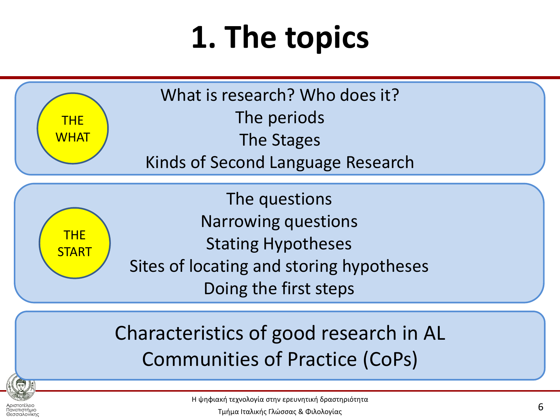## **1. The topics**

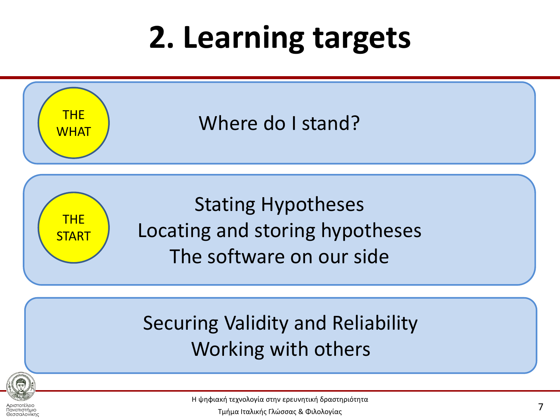#### **2. Learning targets**



#### Working with others



Αριστοτέλειο Πανεπιστήμιο Θεσσαλονίκης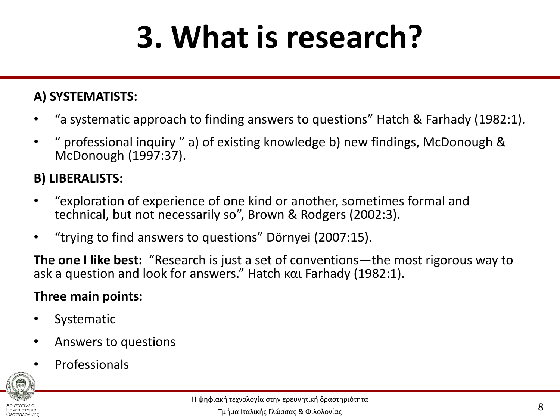## **3. What is research?**

#### **A) SYSTEMATISTS:**

- "a systematic approach to finding answers to questions" Hatch & Farhady (1982:1).
- " professional inquiry " a) of existing knowledge b) new findings, McDonough & McDonough (1997:37).

#### **B) LIBERALISTS:**

- "exploration of experience of one kind or another, sometimes formal and technical, but not necessarily so", Brown & Rodgers (2002:3).
- "trying to find answers to questions" Dörnyei (2007:15).

**The one I like best:** "Research is just a set of conventions—the most rigorous way to ask a question and look for answers." Hatch και Farhady (1982:1).

#### **Three main points:**

- **Systematic**
- Answers to questions
- **Professionals**

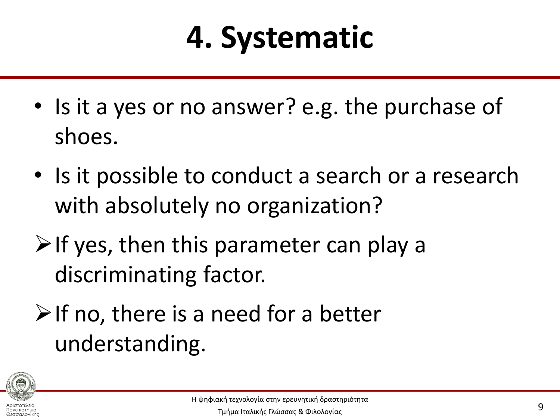## **4. Systematic**

- Is it a yes or no answer? e.g. the purchase of shoes.
- Is it possible to conduct a search or a research with absolutely no organization?
- $\triangleright$  If yes, then this parameter can play a discriminating factor.
- $\triangleright$  If no, there is a need for a better understanding.

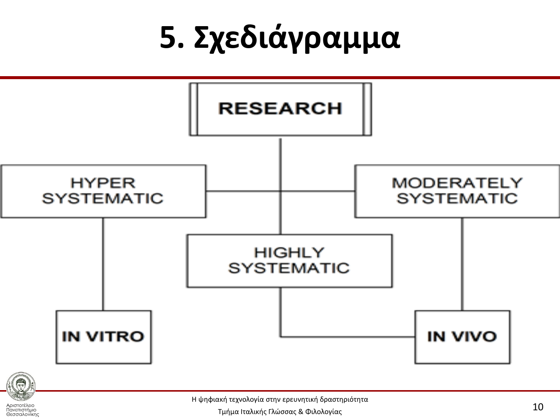## **5. Σχεδιάγραμμα**





Αριστοτέλειο Πανεπιστήμιο Θεσσαλονίκης Η ψηφιακή τεχνολογία στην ερευνητική δραστηριότητα

Τμήμα Ιταλικής Γλώσσας & Φιλολογίας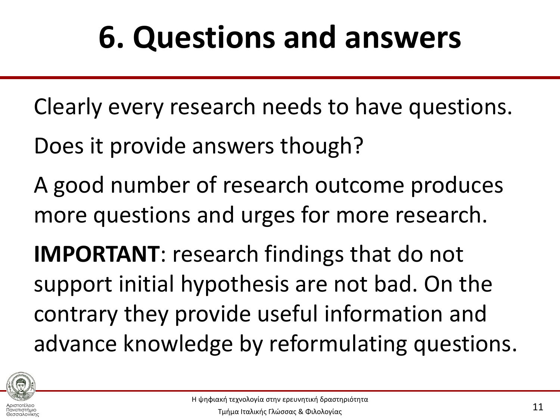#### **6. Questions and answers**

Clearly every research needs to have questions.

Does it provide answers though?

A good number of research outcome produces more questions and urges for more research.

**IMPORTANT**: research findings that do not support initial hypothesis are not bad. On the contrary they provide useful information and advance knowledge by reformulating questions.



Θεσσαλονίκης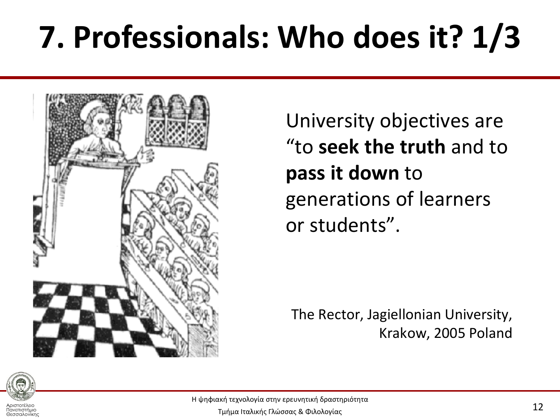## **7. Professionals: Who does it? 1/3**



University objectives are "to **seek the truth** and to **pass it down** to generations of learners or students".

The Rector, Jagiellonian University, Krakow, 2005 Poland



Πανεπιστήμιο Θεσσαλονίκης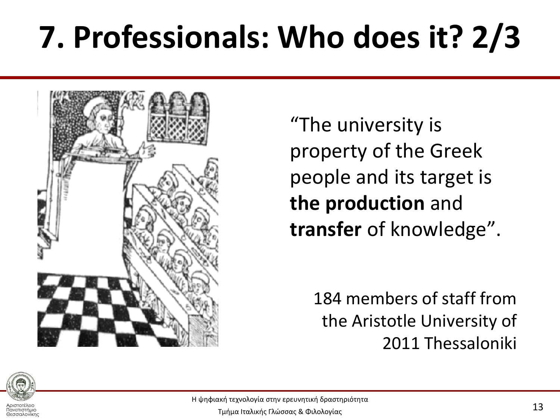## **7. Professionals: Who does it? 2/3**



"The university is property of the Greek people and its target is **the production** and **transfer** of knowledge".

> 184 members of staff from the Aristotle University of 2011 Thessaloniki



Πανεπιστήμιο Θεσσαλονίκης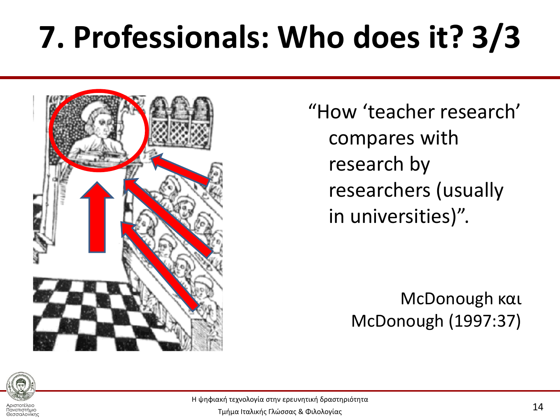## **7. Professionals: Who does it? 3/3**



"How 'teacher research' compares with research by researchers (usually in universities)".

> McDonough και McDonough (1997:37)



Πανεπιστήμιο Θεσσαλονίκης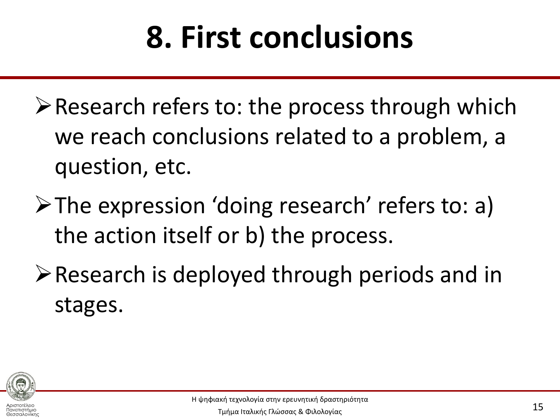## **8. First conclusions**

- $\triangleright$  Research refers to: the process through which we reach conclusions related to a problem, a question, etc.
- The expression 'doing research' refers to: a) the action itself or b) the process.
- Research is deployed through periods and in stages.

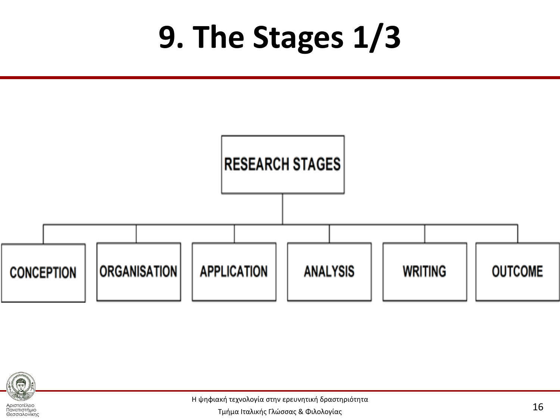#### **9. The Stages 1/3**





Πανεπιστήμιο Θεσσαλονίκης

Η ψηφιακή τεχνολογία στην ερευνητική δραστηριότητα

Τμήμα Ιταλικής Γλώσσας & Φιλολογίας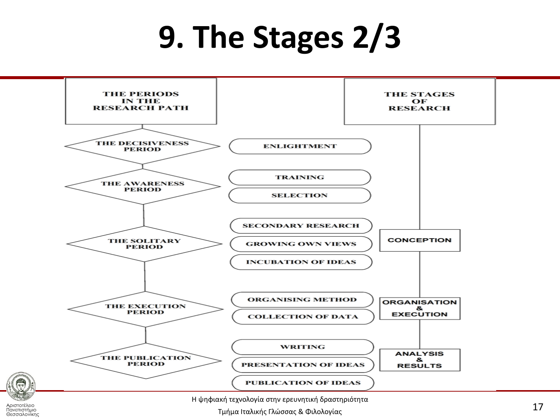#### **9. The Stages 2/3**



Τμήμα Ιταλικής Γλώσσας & Φιλολογίας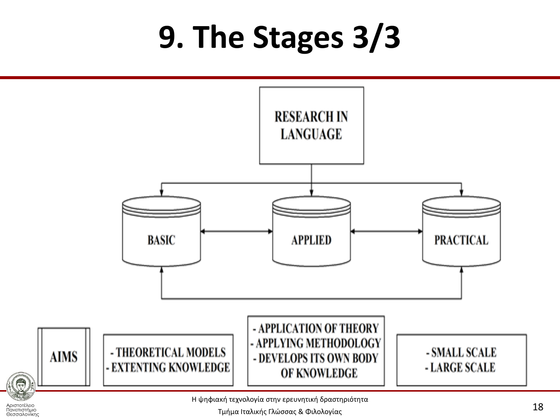#### **9. The Stages 3/3**



Τμήμα Ιταλικής Γλώσσας & Φιλολογίας

Αριστοτέλειο Πανεπιστήμιο Θεσσαλονίκης

●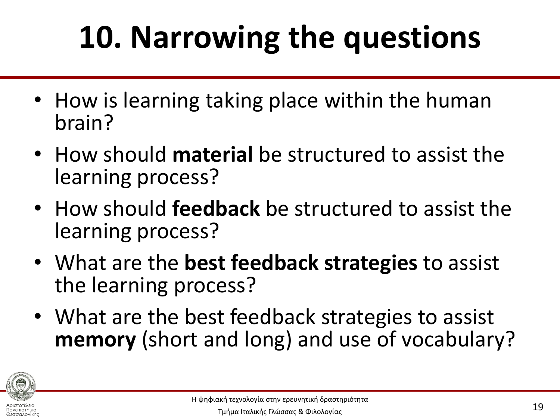## **10. Narrowing the questions**

- How is learning taking place within the human brain?
- How should **material** be structured to assist the learning process?
- How should **feedback** be structured to assist the learning process?
- What are the **best feedback strategies** to assist the learning process?
- What are the best feedback strategies to assist **memory** (short and long) and use of vocabulary?



Θεσσαλονίκης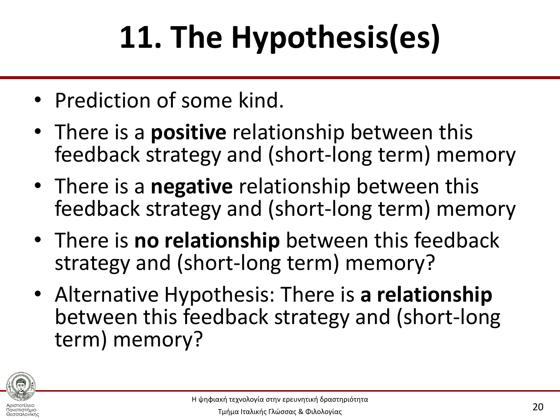# **11. The Hypothesis(es)**

- Prediction of some kind.
- There is a **positive** relationship between this feedback strategy and (short-long term) memory
- There is a **negative** relationship between this feedback strategy and (short-long term) memory
- There is **no relationship** between this feedback strategy and (short-long term) memory?
- Alternative Hypothesis: There is **a relationship**  between this feedback strategy and (short-long term) memory?



Θεσσαλονίκης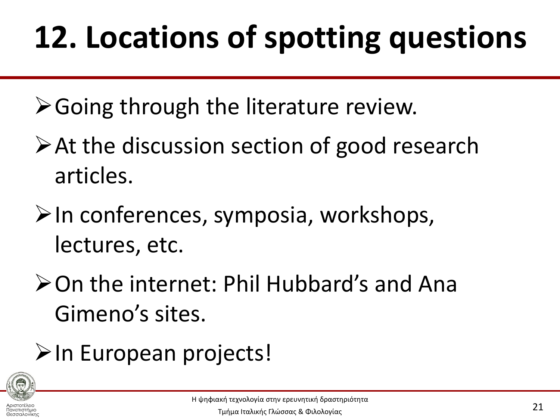## **12. Locations of spotting questions**

- $\triangleright$  Going through the literature review.
- $\triangleright$  At the discussion section of good research articles.
- $\triangleright$ In conferences, symposia, workshops, lectures, etc.
- **≻On the internet: Phil Hubbard's and Ana** Gimeno's sites.
- >In European projects!

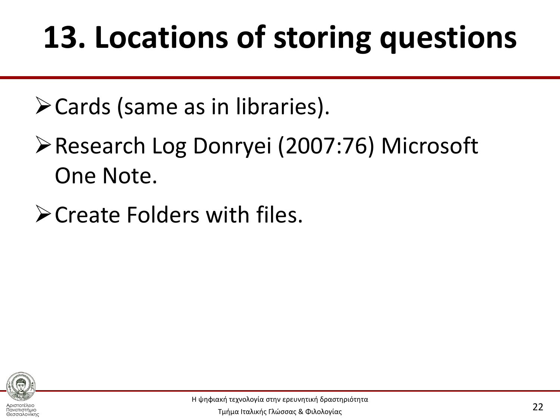## **13. Locations of storing questions**

Cards (same as in libraries).

- Research Log Donryei (2007:76) Microsoft One Note.
- **≻Create Folders with files.**



Αριστοτέλειο Πανεπιστήμιο Θεσσαλονίκης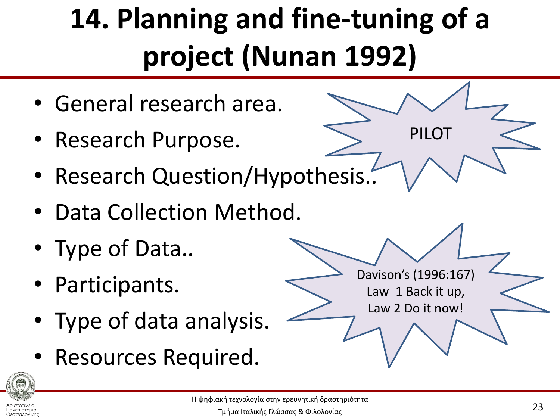### **14. Planning and fine-tuning of a project (Nunan 1992)**

PILOT

Davison's (1996:167)

Law 1 Back it up,

Law 2 Do it now!

- General research area.
- Research Purpose.
- Research Question/Hypothesis..
- Data Collection Method.
- Type of Data..
- Participants.
- Type of data analysis.
- Resources Required.



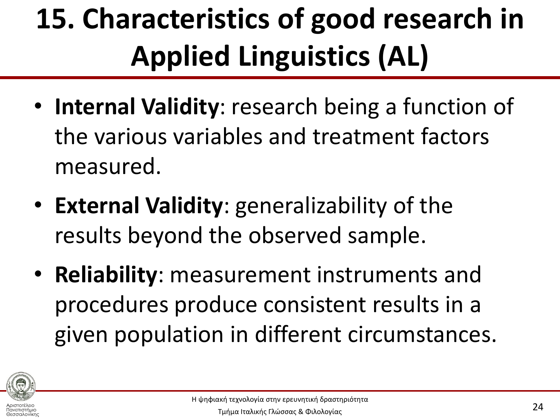### **15. Characteristics of good research in Applied Linguistics (AL)**

- **Internal Validity**: research being a function of the various variables and treatment factors measured.
- **External Validity**: generalizability of the results beyond the observed sample.
- **Reliability**: measurement instruments and procedures produce consistent results in a given population in different circumstances.



Θεσσαλονίκης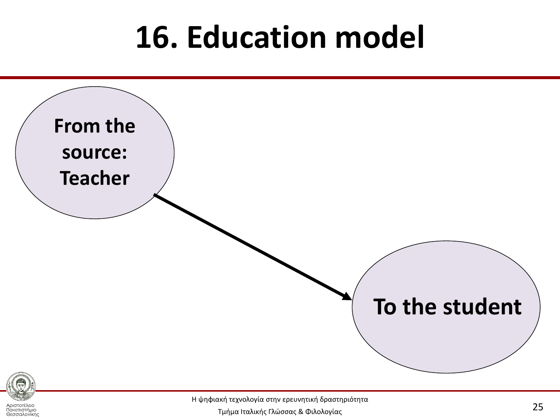#### **16. Education model**



Η ψηφιακή τεχνολογία στην ερευνητική δραστηριότητα

Αριστοτέλειο Πανεπιστήμιο Θεσσαλονίκη

Τμήμα Ιταλικής Γλώσσας & Φιλολογίας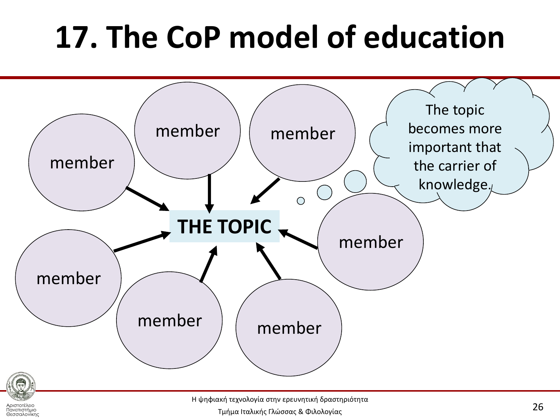### **17. The CoP model of education**



Η ψηφιακή τεχνολογία στην ερευνητική δραστηριότητα

Τμήμα Ιταλικής Γλώσσας & Φιλολογίας

Αριστοτέλειο Πανεπιστήμιο Θεσσαλονίκης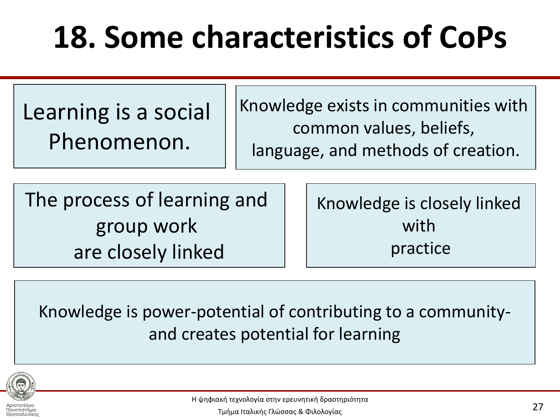### **18. Some characteristics of CoPs**

Learning is a social Phenomenon.

Knowledge exists in communities with common values, beliefs, language, and methods of creation.

The process of learning and group work are closely linked

Knowledge is closely linked with practice

Knowledge is power-potential of contributing to a communityand creates potential for learning



Αριστοτέλειο Πανεπιστήμιο Θεσσαλονίκης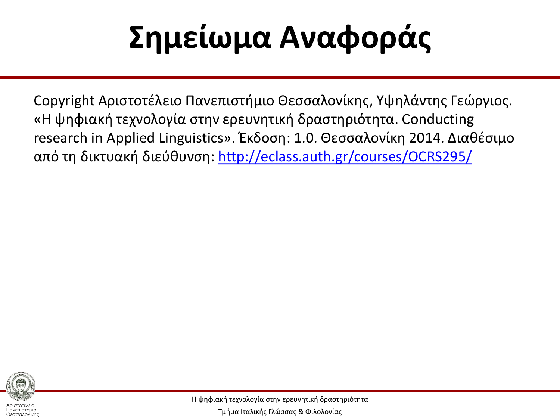## **Σημείωμα Αναφοράς**

Copyright Αριστοτέλειο Πανεπιστήμιο Θεσσαλονίκης, Υψηλάντης Γεώργιος. «Η ψηφιακή τεχνολογία στην ερευνητική δραστηριότητα. Conducting research in Applied Linguistics». Έκδοση: 1.0. Θεσσαλονίκη 2014. Διαθέσιμο από τη δικτυακή διεύθυνση: <http://eclass.auth.gr/courses/OCRS295/>



Πανεπιστήμιο Θεσσαλονίκης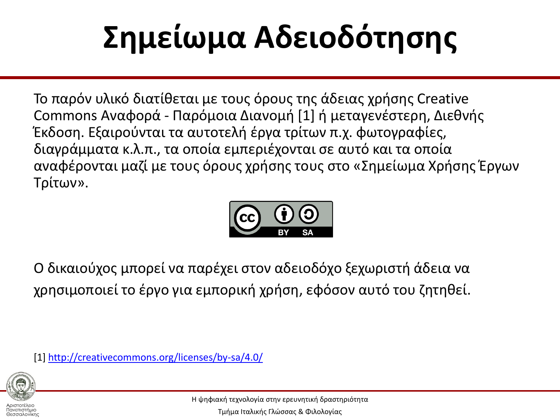# **Σημείωμα Αδειοδότησης**

Το παρόν υλικό διατίθεται με τους όρους της άδειας χρήσης Creative Commons Αναφορά - Παρόμοια Διανομή [1] ή μεταγενέστερη, Διεθνής Έκδοση. Εξαιρούνται τα αυτοτελή έργα τρίτων π.χ. φωτογραφίες, διαγράμματα κ.λ.π., τα οποία εμπεριέχονται σε αυτό και τα οποία αναφέρονται μαζί με τους όρους χρήσης τους στο «Σημείωμα Χρήσης Έργων Σρίτων».



Ο δικαιούχος μπορεί να παρέχει στον αδειοδόχο ξεχωριστή άδεια να χρησιμοποιεί το έργο για εμπορική χρήση, εφόσον αυτό του ζητηθεί.

[1]<http://creativecommons.org/licenses/by-sa/4.0/>



Πανεπιστήμιο Θεσσαλονίκης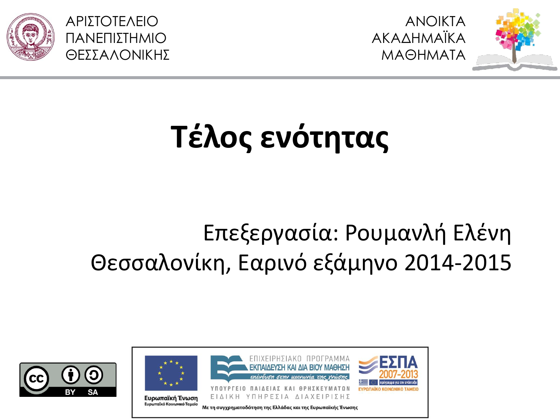



## **Τζλος ενότητας**

#### Επεξεργασία: Ρουμανλή Ελένη Θεσσαλονίκη, Εαρινό εξάμηνο 2014-2015

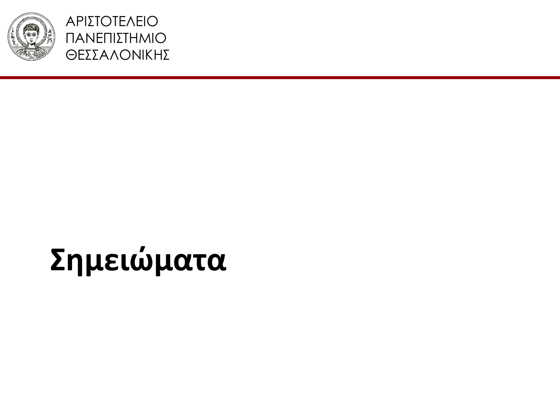

ΑΡΙΣΟΣΕΛΕΙΟ ΠΑΝΕΠΙΣΗΜΙΟ ΘΕΣΣΑΛΟΝΙΚΗΣ

#### **Σημειώματα**